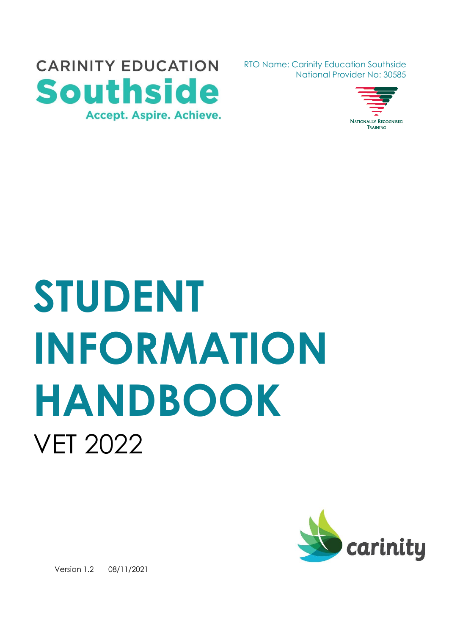

RTO Name: Carinity Education Southside National Provider No: 30585



# **STUDENT INFORMATION HANDBOOK** VET 2022



Version 1.2 08/11/2021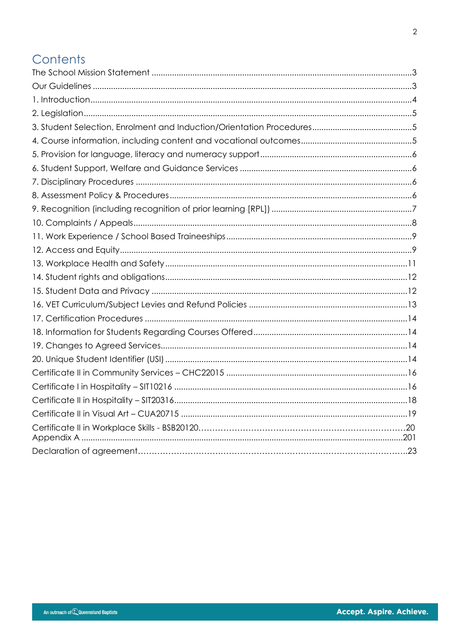## Contents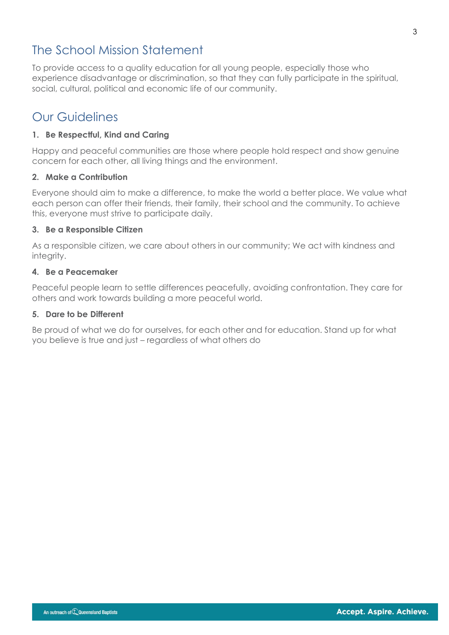## <span id="page-2-0"></span>The School Mission Statement

To provide access to a quality education for all young people, especially those who experience disadvantage or discrimination, so that they can fully participate in the spiritual, social, cultural, political and economic life of our community.

## <span id="page-2-1"></span>Our Guidelines

#### **1. Be Respectful, Kind and Caring**

Happy and peaceful communities are those where people hold respect and show genuine concern for each other, all living things and the environment.

#### **2. Make a Contribution**

Everyone should aim to make a difference, to make the world a better place. We value what each person can offer their friends, their family, their school and the community. To achieve this, everyone must strive to participate daily.

#### **3. Be a Responsible Citizen**

As a responsible citizen, we care about others in our community; We act with kindness and integrity.

#### **4. Be a Peacemaker**

Peaceful people learn to settle differences peacefully, avoiding confrontation. They care for others and work towards building a more peaceful world.

#### **5. Dare to be Different**

Be proud of what we do for ourselves, for each other and for education. Stand up for what you believe is true and just – regardless of what others do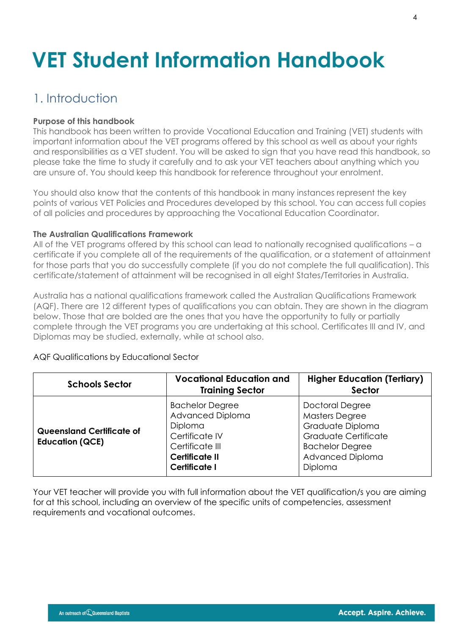## **VET Student Information Handbook**

## <span id="page-3-0"></span>1. Introduction

#### **Purpose of this handbook**

This handbook has been written to provide Vocational Education and Training (VET) students with important information about the VET programs offered by this school as well as about your rights and responsibilities as a VET student. You will be asked to sign that you have read this handbook, so please take the time to study it carefully and to ask your VET teachers about anything which you are unsure of. You should keep this handbook for reference throughout your enrolment.

You should also know that the contents of this handbook in many instances represent the key points of various VET Policies and Procedures developed by this school. You can access full copies of all policies and procedures by approaching the Vocational Education Coordinator.

#### **The Australian Qualifications Framework**

All of the VET programs offered by this school can lead to nationally recognised qualifications – a certificate if you complete all of the requirements of the qualification, or a statement of attainment for those parts that you do successfully complete (if you do not complete the full qualification). This certificate/statement of attainment will be recognised in all eight States/Territories in Australia.

Australia has a national qualifications framework called the Australian Qualifications Framework (AQF). There are 12 different types of qualifications you can obtain. They are shown in the diagram below. Those that are bolded are the ones that you have the opportunity to fully or partially complete through the VET programs you are undertaking at this school. Certificates III and IV, and Diplomas may be studied, externally, while at school also.

#### AQF Qualifications by Educational Sector

| <b>Schools Sector</b>                                      | <b>Vocational Education and</b><br><b>Training Sector</b>                                                                                   | <b>Higher Education (Tertiary)</b><br>Sector                                                                                                         |
|------------------------------------------------------------|---------------------------------------------------------------------------------------------------------------------------------------------|------------------------------------------------------------------------------------------------------------------------------------------------------|
| <b>Queensland Certificate of</b><br><b>Education (QCE)</b> | <b>Bachelor Degree</b><br>Advanced Diploma<br>Diploma<br>Certificate IV<br>Certificate III<br><b>Certificate II</b><br><b>Certificate I</b> | <b>Doctoral Degree</b><br><b>Masters Degree</b><br>Graduate Diploma<br>Graduate Certificate<br><b>Bachelor Degree</b><br>Advanced Diploma<br>Diploma |

Your VET teacher will provide you with full information about the VET qualification/s you are aiming for at this school, including an overview of the specific units of competencies, assessment requirements and vocational outcomes.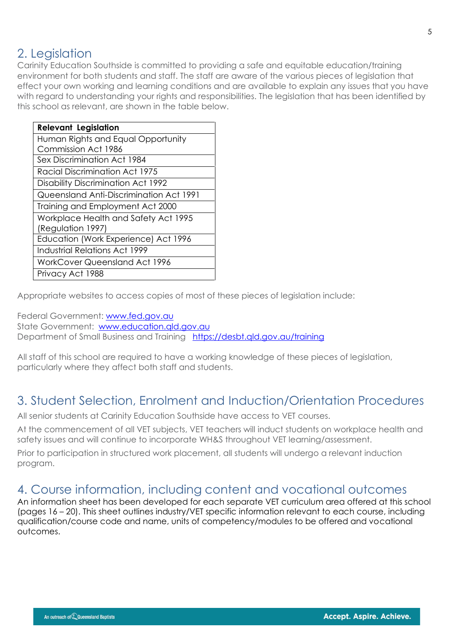## <span id="page-4-0"></span>2. Legislation

Carinity Education Southside is committed to providing a safe and equitable education/training environment for both students and staff. The staff are aware of the various pieces of legislation that effect your own working and learning conditions and are available to explain any issues that you have with regard to understanding your rights and responsibilities. The legislation that has been identified by this school as relevant, are shown in the table below.

| <b>Relevant Legislation</b>                    |
|------------------------------------------------|
| Human Rights and Equal Opportunity             |
| Commission Act 1986                            |
| Sex Discrimination Act 1984                    |
| <b>Racial Discrimination Act 1975</b>          |
| <b>Disability Discrimination Act 1992</b>      |
| <b>Queensland Anti-Discrimination Act 1991</b> |
| Training and Employment Act 2000               |
| Workplace Health and Safety Act 1995           |
| (Regulation 1997)                              |
| Education (Work Experience) Act 1996           |
| Industrial Relations Act 1999                  |
| WorkCover Queensland Act 1996                  |
| Privacy Act 1988                               |

Appropriate websites to access copies of most of these pieces of legislation include:

Federal Government: [www.fed.gov.au](http://www.fed.gov.au/) State Government: [www.education.qld.gov.au](http://www.education.qld.gov.au/) Department of Small Business and Training <https://desbt.qld.gov.au/training>

All staff of this school are required to have a working knowledge of these pieces of legislation, particularly where they affect both staff and students.

## <span id="page-4-1"></span>3. Student Selection, Enrolment and Induction/Orientation Procedures

All senior students at Carinity Education Southside have access to VET courses.

At the commencement of all VET subjects, VET teachers will induct students on workplace health and safety issues and will continue to incorporate WH&S throughout VET learning/assessment.

Prior to participation in structured work placement, all students will undergo a relevant induction program.

## <span id="page-4-2"></span>4. Course information, including content and vocational outcomes

An information sheet has been developed for each separate VET curriculum area offered at this school (pages 16 – 20). This sheet outlines industry/VET specific information relevant to each course, including qualification/course code and name, units of competency/modules to be offered and vocational outcomes.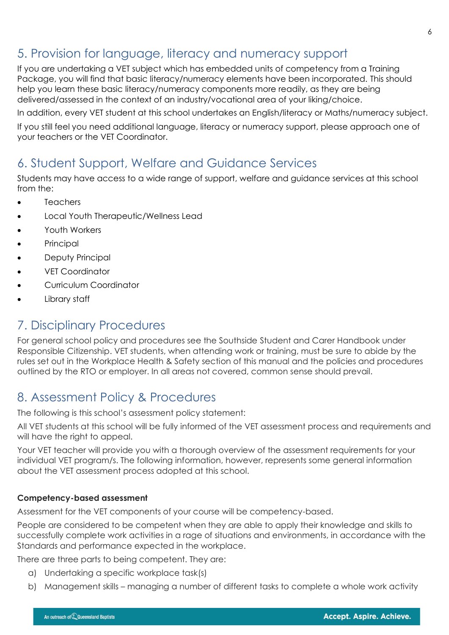## <span id="page-5-0"></span>5. Provision for language, literacy and numeracy support

If you are undertaking a VET subject which has embedded units of competency from a Training Package, you will find that basic literacy/numeracy elements have been incorporated. This should help you learn these basic literacy/numeracy components more readily, as they are being delivered/assessed in the context of an industry/vocational area of your liking/choice.

In addition, every VET student at this school undertakes an English/literacy or Maths/numeracy subject.

If you still feel you need additional language, literacy or numeracy support, please approach one of your teachers or the VET Coordinator.

## <span id="page-5-1"></span>6. Student Support, Welfare and Guidance Services

Students may have access to a wide range of support, welfare and guidance services at this school from the:

- **Teachers**
- Local Youth Therapeutic/Wellness Lead
- Youth Workers
- **Principal**
- Deputy Principal
- VET Coordinator
- Curriculum Coordinator
- Library staff

## <span id="page-5-2"></span>7. Disciplinary Procedures

For general school policy and procedures see the Southside Student and Carer Handbook under Responsible Citizenship. VET students, when attending work or training, must be sure to abide by the rules set out in the Workplace Health & Safety section of this manual and the policies and procedures outlined by the RTO or employer. In all areas not covered, common sense should prevail.

## <span id="page-5-3"></span>8. Assessment Policy & Procedures

The following is this school's assessment policy statement:

All VET students at this school will be fully informed of the VET assessment process and requirements and will have the right to appeal.

Your VET teacher will provide you with a thorough overview of the assessment requirements for your individual VET program/s. The following information, however, represents some general information about the VET assessment process adopted at this school.

#### **Competency-based assessment**

Assessment for the VET components of your course will be competency-based.

People are considered to be competent when they are able to apply their knowledge and skills to successfully complete work activities in a rage of situations and environments, in accordance with the Standards and performance expected in the workplace.

There are three parts to being competent. They are:

- a) Undertaking a specific workplace task(s)
- b) Management skills managing a number of different tasks to complete a whole work activity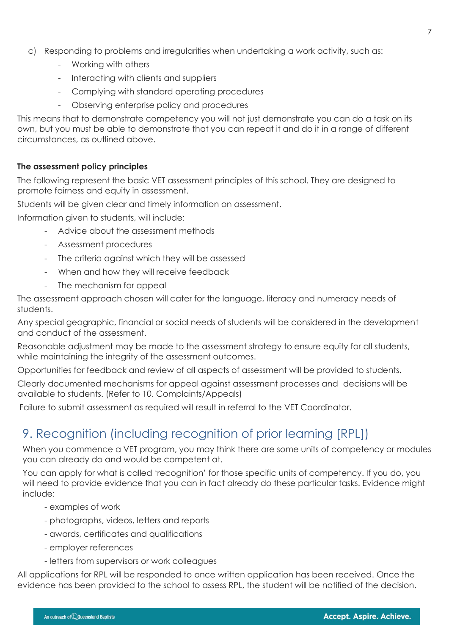- c) Responding to problems and irregularities when undertaking a work activity, such as:
	- Working with others
	- Interacting with clients and suppliers
	- Complying with standard operating procedures
	- Observing enterprise policy and procedures

This means that to demonstrate competency you will not just demonstrate you can do a task on its own, but you must be able to demonstrate that you can repeat it and do it in a range of different circumstances, as outlined above.

#### **The assessment policy principles**

The following represent the basic VET assessment principles of this school. They are designed to promote fairness and equity in assessment.

Students will be given clear and timely information on assessment.

Information given to students, will include:

- Advice about the assessment methods
- Assessment procedures
- The criteria against which they will be assessed
- When and how they will receive feedback
- The mechanism for appeal

The assessment approach chosen will cater for the language, literacy and numeracy needs of students.

Any special geographic, financial or social needs of students will be considered in the development and conduct of the assessment.

Reasonable adjustment may be made to the assessment strategy to ensure equity for all students, while maintaining the integrity of the assessment outcomes.

Opportunities for feedback and review of all aspects of assessment will be provided to students.

Clearly documented mechanisms for appeal against assessment processes and decisions will be available to students. (Refer to 10. Complaints/Appeals)

Failure to submit assessment as required will result in referral to the VET Coordinator.

## <span id="page-6-0"></span>9. Recognition (including recognition of prior learning [RPL])

When you commence a VET program, you may think there are some units of competency or modules you can already do and would be competent at.

You can apply for what is called 'recognition' for those specific units of competency. If you do, you will need to provide evidence that you can in fact already do these particular tasks. Evidence might include:

- examples of work
- photographs, videos, letters and reports
- awards, certificates and qualifications
- employer references
- letters from supervisors or work colleagues

All applications for RPL will be responded to once written application has been received. Once the evidence has been provided to the school to assess RPL, the student will be notified of the decision.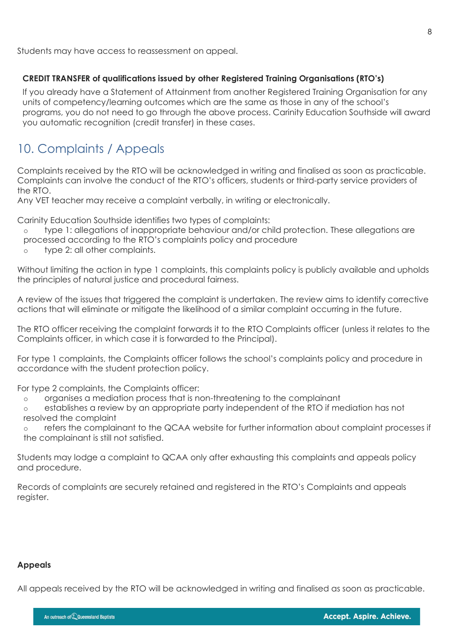Students may have access to reassessment on appeal.

#### **CREDIT TRANSFER of qualifications issued by other Registered Training Organisations (RTO's)**

If you already have a Statement of Attainment from another Registered Training Organisation for any units of competency/learning outcomes which are the same as those in any of the school's programs, you do not need to go through the above process. Carinity Education Southside will award you automatic recognition (credit transfer) in these cases.

## <span id="page-7-0"></span>10. Complaints / Appeals

Complaints received by the RTO will be acknowledged in writing and finalised as soon as practicable. Complaints can involve the conduct of the RTO's officers, students or third-party service providers of the RTO.

Any VET teacher may receive a complaint verbally, in writing or electronically.

Carinity Education Southside identifies two types of complaints:

- o type 1: allegations of inappropriate behaviour and/or child protection. These allegations are processed according to the RTO's complaints policy and procedure
- o type 2: all other complaints.

Without limiting the action in type 1 complaints, this complaints policy is publicly available and upholds the principles of natural justice and procedural fairness.

A review of the issues that triggered the complaint is undertaken. The review aims to identify corrective actions that will eliminate or mitigate the likelihood of a similar complaint occurring in the future.

The RTO officer receiving the complaint forwards it to the RTO Complaints officer (unless it relates to the Complaints officer, in which case it is forwarded to the Principal).

For type 1 complaints, the Complaints officer follows the school's complaints policy and procedure in accordance with the student protection policy.

For type 2 complaints, the Complaints officer:

- o organises a mediation process that is non-threatening to the complainant
- o establishes a review by an appropriate party independent of the RTO if mediation has not resolved the complaint
- o refers the complainant to the QCAA website for further information about complaint processes if the complainant is still not satisfied.

Students may lodge a complaint to QCAA only after exhausting this complaints and appeals policy and procedure.

Records of complaints are securely retained and registered in the RTO's Complaints and appeals register.

#### **Appeals**

All appeals received by the RTO will be acknowledged in writing and finalised as soon as practicable.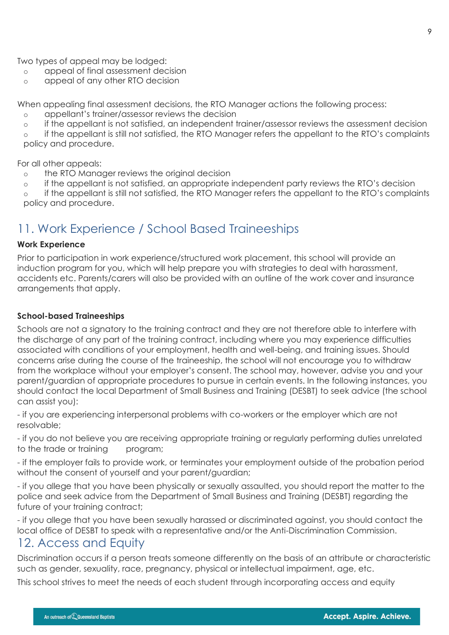Two types of appeal may be lodged:

- o appeal of final assessment decision
- o appeal of any other RTO decision

When appealing final assessment decisions, the RTO Manager actions the following process:

- o appellant's trainer/assessor reviews the decision
- o if the appellant is not satisfied, an independent trainer/assessor reviews the assessment decision

o if the appellant is still not satisfied, the RTO Manager refers the appellant to the RTO's complaints policy and procedure.

For all other appeals:

- o the RTO Manager reviews the original decision
- o if the appellant is not satisfied, an appropriate independent party reviews the RTO's decision
- o if the appellant is still not satisfied, the RTO Manager refers the appellant to the RTO's complaints policy and procedure.

## <span id="page-8-0"></span>11. Work Experience / School Based Traineeships

#### **Work Experience**

Prior to participation in work experience/structured work placement, this school will provide an induction program for you, which will help prepare you with strategies to deal with harassment, accidents etc. Parents/carers will also be provided with an outline of the work cover and insurance arrangements that apply.

#### **School-based Traineeships**

Schools are not a signatory to the training contract and they are not therefore able to interfere with the discharge of any part of the training contract, including where you may experience difficulties associated with conditions of your employment, health and well-being, and training issues. Should concerns arise during the course of the traineeship, the school will not encourage you to withdraw from the workplace without your employer's consent. The school may, however, advise you and your parent/guardian of appropriate procedures to pursue in certain events. In the following instances, you should contact the local Department of Small Business and Training (DESBT) to seek advice (the school can assist you):

- if you are experiencing interpersonal problems with co-workers or the employer which are not resolvable;

- if you do not believe you are receiving appropriate training or regularly performing duties unrelated to the trade or training program;

- if the employer fails to provide work, or terminates your employment outside of the probation period without the consent of yourself and your parent/guardian;

- if you allege that you have been physically or sexually assaulted, you should report the matter to the police and seek advice from the Department of Small Business and Training (DESBT) regarding the future of your training contract;

- if you allege that you have been sexually harassed or discriminated against, you should contact the local office of DESBT to speak with a representative and/or the Anti-Discrimination Commission.

## <span id="page-8-1"></span>12. Access and Equity

Discrimination occurs if a person treats someone differently on the basis of an attribute or characteristic such as gender, sexuality, race, pregnancy, physical or intellectual impairment, age, etc.

This school strives to meet the needs of each student through incorporating access and equity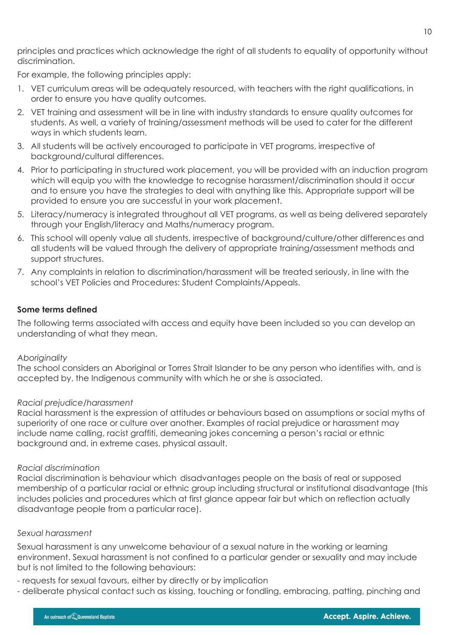principles and practices which acknowledge the right of all students to equality of opportunity without discrimination.

For example, the following principles apply:

- 1. VET curriculum areas will be adequately resourced, with teachers with the right qualifications, in order to ensure you have quality outcomes.
- 2. VET training and assessment will be in line with industry standards to ensure quality outcomes for students. As well, a variety of training/assessment methods will be used to cater for the different ways in which students learn.
- 3. All students will be actively encouraged to participate in VET programs, irrespective of background/cultural differences.
- 4. Prior to participating in structured work placement, you will be provided with an induction program which will equip you with the knowledge to recognise harassment/discrimination should it occur and to ensure you have the strategies to deal with anything like this. Appropriate support will be provided to ensure you are successful in your work placement.
- 5. Literacy/numeracy is integrated throughout all VET programs, as well as being delivered separately through your English/literacy and Maths/numeracy program.
- 6. This school will openly value all students, irrespective of background/culture/other differences and all students will be valued through the delivery of appropriate training/assessment methods and support structures.
- 7. Any complaints in relation to discrimination/harassment will be treated seriously, in line with the school's VET Policies and Procedures: Student Complaints/Appeals.

#### **Some terms defined**

The following terms associated with access and equity have been included so you can develop an understanding of what they mean.

#### *Aboriginality*

The school considers an Aboriginal or Torres Strait Islander to be any person who identifies with, and is accepted by, the Indigenous community with which he or she is associated.

#### *Racial prejudice/harassment*

Racial harassment is the expression of attitudes or behaviours based on assumptions or social myths of superiority of one race or culture over another. Examples of racial prejudice or harassment may include name calling, racist graffiti, demeaning jokes concerning a person's racial or ethnic background and, in extreme cases, physical assault.

#### *Racial discrimination*

Racial discrimination is behaviour which disadvantages people on the basis of real or supposed membership of a particular racial or ethnic group including structural or institutional disadvantage (this includes policies and procedures which at first glance appear fair but which on reflection actually disadvantage people from a particular race).

#### *Sexual harassment*

Sexual harassment is any unwelcome behaviour of a sexual nature in the working or learning environment. Sexual harassment is not confined to a particular gender or sexuality and may include but is not limited to the following behaviours:

- requests for sexual favours, either by directly or by implication

- deliberate physical contact such as kissing, touching or fondling, embracing, patting, pinching and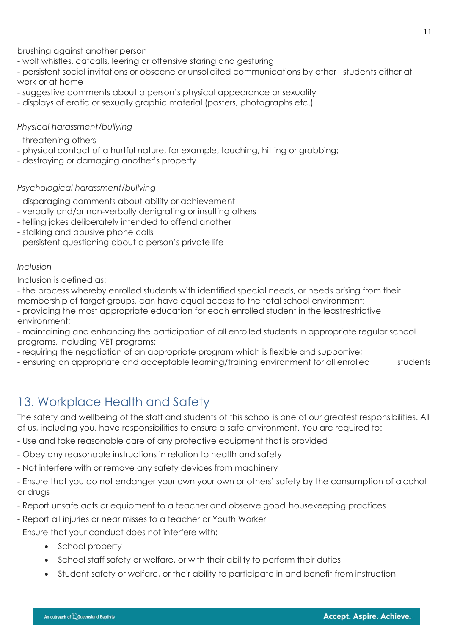- wolf whistles, catcalls, leering or offensive staring and gesturing

- persistent social invitations or obscene or unsolicited communications by other students either at work or at home

- suggestive comments about a person's physical appearance or sexuality
- displays of erotic or sexually graphic material (posters, photographs etc.)

#### *Physical harassment/bullying*

- threatening others
- physical contact of a hurtful nature, for example, touching, hitting or grabbing;
- destroying or damaging another's property

#### *Psychological harassment/bullying*

- disparaging comments about ability or achievement
- verbally and/or non-verbally denigrating or insulting others
- telling jokes deliberately intended to offend another
- stalking and abusive phone calls
- persistent questioning about a person's private life

#### *Inclusion*

Inclusion is defined as:

- the process whereby enrolled students with identified special needs, or needs arising from their membership of target groups, can have equal access to the total school environment;

- providing the most appropriate education for each enrolled student in the leastrestrictive environment;

- maintaining and enhancing the participation of all enrolled students in appropriate regular school programs, including VET programs;

- requiring the negotiation of an appropriate program which is flexible and supportive;
- ensuring an appropriate and acceptable learning/training environment for all enrolled students

## <span id="page-10-0"></span>13. Workplace Health and Safety

The safety and wellbeing of the staff and students of this school is one of our greatest responsibilities. All of us, including you, have responsibilities to ensure a safe environment. You are required to:

- Use and take reasonable care of any protective equipment that is provided
- Obey any reasonable instructions in relation to health and safety
- Not interfere with or remove any safety devices from machinery
- Ensure that you do not endanger your own your own or others' safety by the consumption of alcohol or drugs
- Report unsafe acts or equipment to a teacher and observe good housekeeping practices
- Report all injuries or near misses to a teacher or Youth Worker
- Ensure that your conduct does not interfere with:
	- School property
	- School staff safety or welfare, or with their ability to perform their duties
	- Student safety or welfare, or their ability to participate in and benefit from instruction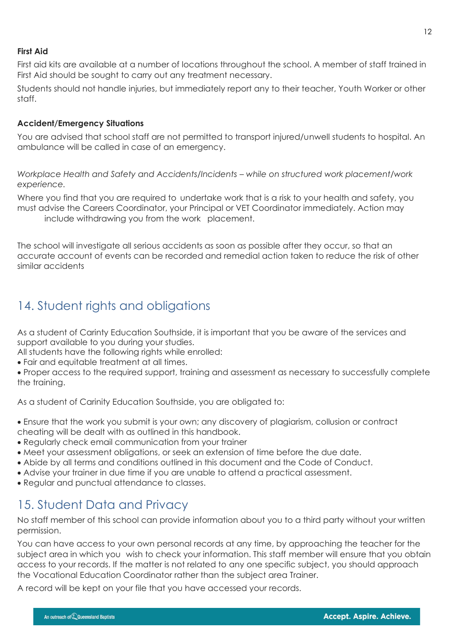#### **First Aid**

First aid kits are available at a number of locations throughout the school. A member of staff trained in First Aid should be sought to carry out any treatment necessary.

Students should not handle injuries, but immediately report any to their teacher, Youth Worker or other staff.

#### **Accident/Emergency Situations**

You are advised that school staff are not permitted to transport injured/unwell students to hospital. An ambulance will be called in case of an emergency.

*Workplace Health and Safety and Accidents/Incidents - while on structured work placement/work experience.*

Where you find that you are required to undertake work that is a risk to your health and safety, you must advise the Careers Coordinator, your Principal or VET Coordinator immediately. Action may include withdrawing you from the work placement.

The school will investigate all serious accidents as soon as possible after they occur, so that an accurate account of events can be recorded and remedial action taken to reduce the risk of other similar accidents

## <span id="page-11-0"></span>14. Student rights and obligations

As a student of Carinty Education Southside, it is important that you be aware of the services and support available to you during your studies.

All students have the following rights while enrolled:

• Fair and equitable treatment at all times.

• Proper access to the required support, training and assessment as necessary to successfully complete the training.

As a student of Carinity Education Southside, you are obligated to:

• Ensure that the work you submit is your own; any discovery of plagiarism, collusion or contract cheating will be dealt with as outlined in this handbook.

- Regularly check email communication from your trainer
- Meet your assessment obligations, or seek an extension of time before the due date.
- Abide by all terms and conditions outlined in this document and the Code of Conduct.
- Advise your trainer in due time if you are unable to attend a practical assessment.
- Regular and punctual attendance to classes.

## <span id="page-11-1"></span>15. Student Data and Privacy

No staff member of this school can provide information about you to a third party without your written permission.

You can have access to your own personal records at any time, by approaching the teacher for the subject area in which you wish to check your information. This staff member will ensure that you obtain access to your records. If the matter is not related to any one specific subject, you should approach the Vocational Education Coordinator rather than the subject area Trainer.

A record will be kept on your file that you have accessed your records.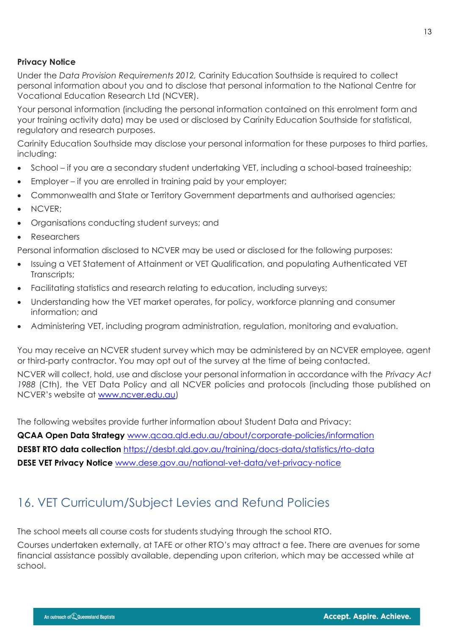#### **Privacy Notice**

Under the *Data Provision Requirements 2012,* Carinity Education Southside is required to collect personal information about you and to disclose that personal information to the National Centre for Vocational Education Research Ltd (NCVER).

Your personal information (including the personal information contained on this enrolment form and your training activity data) may be used or disclosed by Carinity Education Southside for statistical, regulatory and research purposes.

Carinity Education Southside may disclose your personal information for these purposes to third parties, including:

- School if you are a secondary student undertaking VET, including a school-based traineeship;
- Employer if you are enrolled in training paid by your employer;
- Commonwealth and State or Territory Government departments and authorised agencies;
- NCVER;
- Organisations conducting student surveys; and
- Researchers

Personal information disclosed to NCVER may be used or disclosed for the following purposes:

- Issuing a VET Statement of Attainment or VET Qualification, and populating Authenticated VET Transcripts;
- Facilitating statistics and research relating to education, including surveys;
- Understanding how the VET market operates, for policy, workforce planning and consumer information; and
- Administering VET, including program administration, regulation, monitoring and evaluation.

You may receive an NCVER student survey which may be administered by an NCVER employee, agent or third-party contractor. You may opt out of the survey at the time of being contacted.

NCVER will collect, hold, use and disclose your personal information in accordance with the *Privacy Act 1988* (Cth), the VET Data Policy and all NCVER policies and protocols (including those published on NCVER's website at [www.ncver.edu.au\)](http://www.ncver.edu.au/)

The following websites provide further information about Student Data and Privacy: **QCAA Open Data Strategy** [www.qcaa.qld.edu.au/about/corporate-policies/information](http://www.qcaa.qld.edu.au/about/corporate-policies/information) **DESBT RTO data collection** <https://desbt.qld.gov.au/training/docs-data/statistics/rto-data> **DESE VET Privacy Notice** [www.dese.gov.au/national-vet-data/vet-privacy-notice](https://www.dese.gov.au/national-vet-data/vet-privacy-notice)

## <span id="page-12-0"></span>16. VET Curriculum/Subject Levies and Refund Policies

The school meets all course costs for students studying through the school RTO.

Courses undertaken externally, at TAFE or other RTO's may attract a fee. There are avenues for some financial assistance possibly available, depending upon criterion, which may be accessed while at school.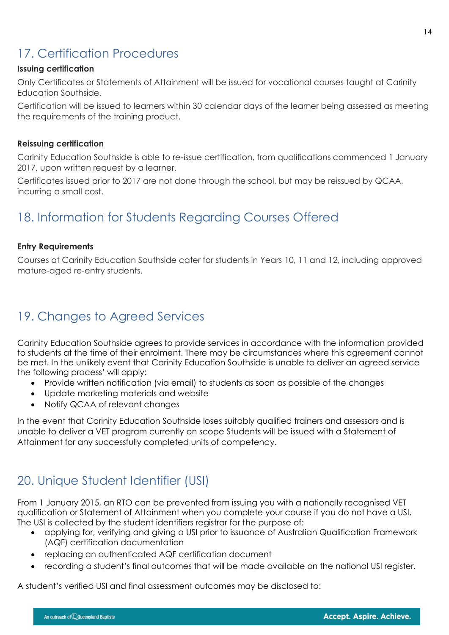## <span id="page-13-0"></span>17. Certification Procedures

#### **Issuing certification**

Only Certificates or Statements of Attainment will be issued for vocational courses taught at Carinity Education Southside.

Certification will be issued to learners within 30 calendar days of the learner being assessed as meeting the requirements of the training product.

#### **Reissuing certification**

Carinity Education Southside is able to re-issue certification, from qualifications commenced 1 January 2017, upon written request by a learner.

Certificates issued prior to 2017 are not done through the school, but may be reissued by QCAA, incurring a small cost.

## <span id="page-13-1"></span>18. Information for Students Regarding Courses Offered

#### **Entry Requirements**

Courses at Carinity Education Southside cater for students in Years 10, 11 and 12, including approved mature-aged re-entry students.

## <span id="page-13-2"></span>19. Changes to Agreed Services

Carinity Education Southside agrees to provide services in accordance with the information provided to students at the time of their enrolment. There may be circumstances where this agreement cannot be met. In the unlikely event that Carinity Education Southside is unable to deliver an agreed service the following process' will apply:

- Provide written notification (via email) to students as soon as possible of the changes
- Update marketing materials and website
- Notify QCAA of relevant changes

In the event that Carinity Education Southside loses suitably qualified trainers and assessors and is unable to deliver a VET program currently on scope Students will be issued with a Statement of Attainment for any successfully completed units of competency.

## <span id="page-13-3"></span>20. Unique Student Identifier (USI)

From 1 January 2015, an RTO can be prevented from issuing you with a nationally recognised VET qualification or Statement of Attainment when you complete your course if you do not have a USI. The USI is collected by the student identifiers registrar for the purpose of:

- applying for, verifying and giving a USI prior to issuance of Australian Qualification Framework (AQF) certification documentation
- replacing an authenticated AQF certification document
- recording a student's final outcomes that will be made available on the national USI register.

A student's verified USI and final assessment outcomes may be disclosed to: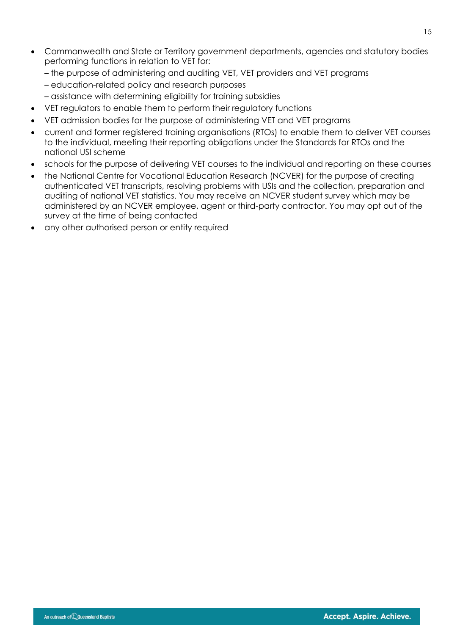- Commonwealth and State or Territory government departments, agencies and statutory bodies performing functions in relation to VET for:
	- the purpose of administering and auditing VET, VET providers and VET programs
	- education-related policy and research purposes
	- assistance with determining eligibility for training subsidies
- VET regulators to enable them to perform their regulatory functions
- VET admission bodies for the purpose of administering VET and VET programs
- current and former registered training organisations (RTOs) to enable them to deliver VET courses to the individual, meeting their reporting obligations under the Standards for RTOs and the national USI scheme
- schools for the purpose of delivering VET courses to the individual and reporting on these courses
- the National Centre for Vocational Education Research (NCVER) for the purpose of creating authenticated VET transcripts, resolving problems with USIs and the collection, preparation and auditing of national VET statistics. You may receive an NCVER student survey which may be administered by an NCVER employee, agent or third-party contractor. You may opt out of the survey at the time of being contacted
- any other authorised person or entity required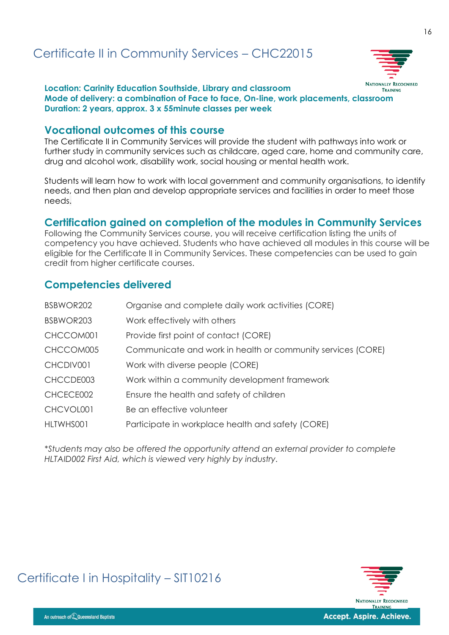## <span id="page-15-0"></span>Certificate II in Community Services – CHC22015



**Location: Carinity Education Southside, Library and classroom Mode of delivery: a combination of Face to face, On-line, work placements, classroom Duration: 2 years, approx. 3 x 55minute classes per week**

#### **Vocational outcomes of this course**

The Certificate II in Community Services will provide the student with pathways into work or further study in community services such as childcare, aged care, home and community care, drug and alcohol work, disability work, social housing or mental health work.

Students will learn how to work with local government and community organisations, to identify needs, and then plan and develop appropriate services and facilities in order to meet those needs.

#### **Certification gained on completion of the modules in Community Services**

Following the Community Services course, you will receive certification listing the units of competency you have achieved. Students who have achieved all modules in this course will be eligible for the Certificate II in Community Services. These competencies can be used to gain credit from higher certificate courses.

## **Competencies delivered**

| BSBWOR202 | Organise and complete daily work activities (CORE)          |
|-----------|-------------------------------------------------------------|
| BSBWOR203 | Work effectively with others                                |
| CHCCOM001 | Provide first point of contact (CORE)                       |
| CHCCOM005 | Communicate and work in health or community services (CORE) |
| CHCDIV001 | Work with diverse people (CORE)                             |
| CHCCDE003 | Work within a community development framework               |
| CHCECE002 | Ensure the health and safety of children                    |
| CHCVOL001 | Be an effective volunteer                                   |
| HLTWHS001 | Participate in workplace health and safety (CORE)           |
|           |                                                             |

*\*Students may also be offered the opportunity attend an external provider to complete HLTAID002 First Aid, which is viewed very highly by industry.*

## <span id="page-15-1"></span>Certificate I in Hospitality – SIT10216

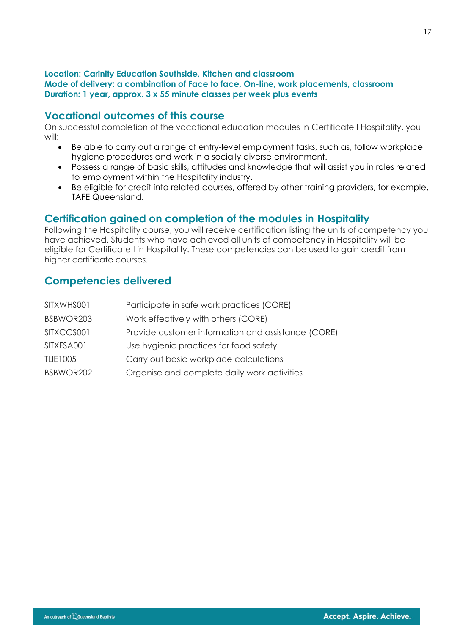**Location: Carinity Education Southside, Kitchen and classroom Mode of delivery: a combination of Face to face, On-line, work placements, classroom Duration: 1 year, approx. 3 x 55 minute classes per week plus events**

#### **Vocational outcomes of this course**

On successful completion of the vocational education modules in Certificate I Hospitality, you will:

- Be able to carry out a range of entry-level employment tasks, such as, follow workplace hygiene procedures and work in a socially diverse environment.
- Possess a range of basic skills, attitudes and knowledge that will assist you in roles related to employment within the Hospitality industry.
- Be eligible for credit into related courses, offered by other training providers, for example, TAFE Queensland.

#### **Certification gained on completion of the modules in Hospitality**

Following the Hospitality course, you will receive certification listing the units of competency you have achieved. Students who have achieved all units of competency in Hospitality will be eligible for Certificate I in Hospitality. These competencies can be used to gain credit from higher certificate courses.

## **Competencies delivered**

<span id="page-16-0"></span>

| SITXWHS001      | Participate in safe work practices (CORE)          |
|-----------------|----------------------------------------------------|
| BSBWOR203       | Work effectively with others (CORE)                |
| SITXCCS001      | Provide customer information and assistance (CORE) |
| SITXFSA001      | Use hygienic practices for food safety             |
| <b>TLIE1005</b> | Carry out basic workplace calculations             |
| BSBWOR202       | Organise and complete daily work activities        |
|                 |                                                    |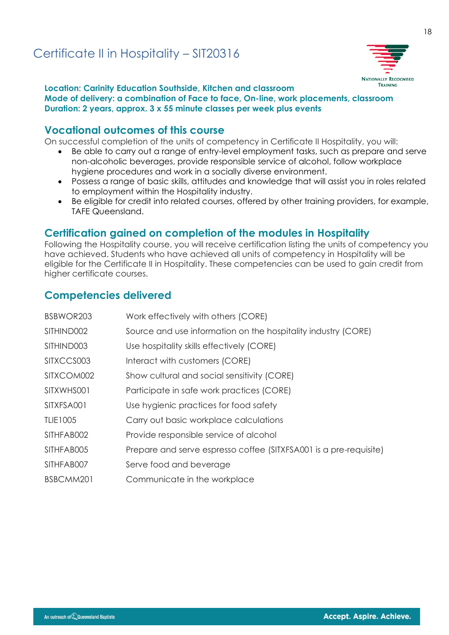## Certificate II in Hospitality – SIT20316



**Location: Carinity Education Southside, Kitchen and classroom Mode of delivery: a combination of Face to face, On-line, work placements, classroom Duration: 2 years, approx. 3 x 55 minute classes per week plus events**

#### **Vocational outcomes of this course**

On successful completion of the units of competency in Certificate II Hospitality, you will:

- Be able to carry out a range of entry-level employment tasks, such as prepare and serve non-alcoholic beverages, provide responsible service of alcohol, follow workplace hygiene procedures and work in a socially diverse environment.
- Possess a range of basic skills, attitudes and knowledge that will assist you in roles related to employment within the Hospitality industry.
- Be eligible for credit into related courses, offered by other training providers, for example, TAFE Queensland.

#### **Certification gained on completion of the modules in Hospitality**

Following the Hospitality course, you will receive certification listing the units of competency you have achieved. Students who have achieved all units of competency in Hospitality will be eligible for the Certificate II in Hospitality. These competencies can be used to gain credit from higher certificate courses.

#### **Competencies delivered**

| BSBWOR203       | Work effectively with others (CORE)                               |
|-----------------|-------------------------------------------------------------------|
| SITHIND002      | Source and use information on the hospitality industry (CORE)     |
| SITHIND003      | Use hospitality skills effectively (CORE)                         |
| SITXCCS003      | Interact with customers (CORE)                                    |
| SITXCOM002      | Show cultural and social sensitivity (CORE)                       |
| SITXWHS001      | Participate in safe work practices (CORE)                         |
| SITXFSA001      | Use hygienic practices for food safety                            |
| <b>TLIE1005</b> | Carry out basic workplace calculations                            |
| SITHFAB002      | Provide responsible service of alcohol                            |
| SITHFAB005      | Prepare and serve espresso coffee (SITXFSA001 is a pre-requisite) |
| SITHFAB007      | Serve food and beverage                                           |
| BSBCMM201       | Communicate in the workplace                                      |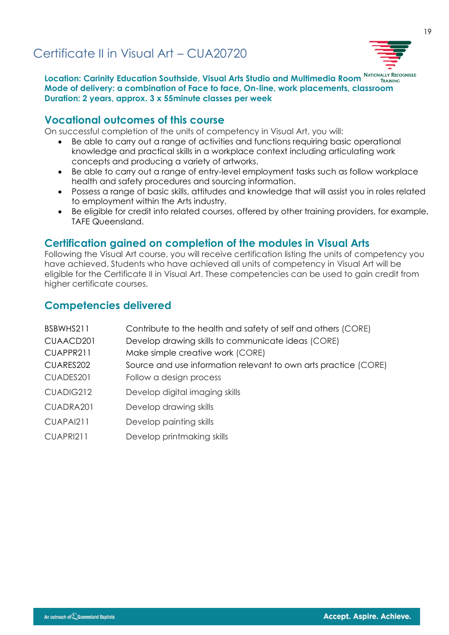## <span id="page-18-0"></span>Certificate II in Visual Art – CUA20720



**Location: Carinity Education Southside, Visual Arts Studio and Multimedia Room NATIONALLY RECOGNISED Mode of delivery: a combination of Face to face, On-line, work placements, classroom Duration: 2 years, approx. 3 x 55minute classes per week**

#### **Vocational outcomes of this course**

On successful completion of the units of competency in Visual Art, you will:

- Be able to carry out a range of activities and functions requiring basic operational knowledge and practical skills in a workplace context including articulating work concepts and producing a variety of artworks.
- Be able to carry out a range of entry-level employment tasks such as follow workplace health and safety procedures and sourcing information.
- Possess a range of basic skills, attitudes and knowledge that will assist you in roles related to employment within the Arts industry.
- Be eligible for credit into related courses, offered by other training providers, for example, TAFE Queensland.

#### **Certification gained on completion of the modules in Visual Arts**

Following the Visual Art course, you will receive certification listing the units of competency you have achieved. Students who have achieved all units of competency in Visual Art will be eligible for the Certificate II in Visual Art. These competencies can be used to gain credit from higher certificate courses.

#### **Competencies delivered**

<span id="page-18-1"></span>

| BSBWHS211 | Contribute to the health and safety of self and others (CORE)   |
|-----------|-----------------------------------------------------------------|
| CUAACD201 | Develop drawing skills to communicate ideas (CORE)              |
| CUAPPR211 | Make simple creative work (CORE)                                |
| CUARES202 | Source and use information relevant to own arts practice (CORE) |
| CUADES201 | Follow a design process                                         |
| CUADIG212 | Develop digital imaging skills                                  |
| CUADRA201 | Develop drawing skills                                          |
| CUAPAI211 | Develop painting skills                                         |
| CUAPRI211 | Develop printmaking skills                                      |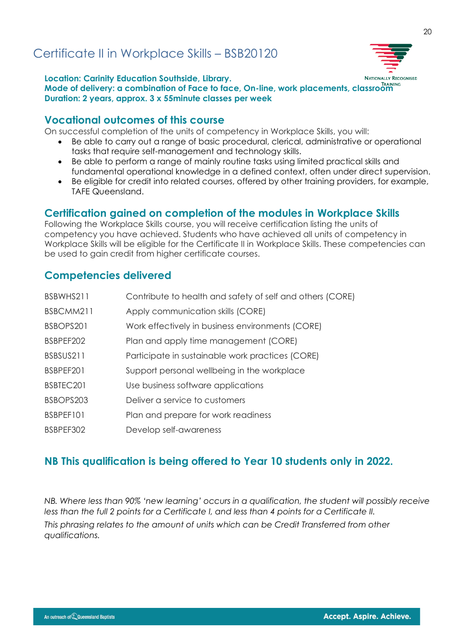## Certificate II in Workplace Skills – BSB20120



**Location: Carinity Education Southside, Library. Mode of delivery: a combination of Face to face, On-line, work placements, classroom Duration: 2 years, approx. 3 x 55minute classes per week**

#### **Vocational outcomes of this course**

On successful completion of the units of competency in Workplace Skills, you will:

- Be able to carry out a range of basic procedural, clerical, administrative or operational tasks that require self-management and technology skills.
- Be able to perform a range of mainly routine tasks using limited practical skills and fundamental operational knowledge in a defined context, often under direct supervision.
- Be eligible for credit into related courses, offered by other training providers, for example, TAFE Queensland.

#### **Certification gained on completion of the modules in Workplace Skills**

Following the Workplace Skills course, you will receive certification listing the units of competency you have achieved. Students who have achieved all units of competency in Workplace Skills will be eligible for the Certificate II in Workplace Skills. These competencies can be used to gain credit from higher certificate courses.

#### **Competencies delivered**

| BSBWHS211 | Contribute to health and safety of self and others (CORE) |
|-----------|-----------------------------------------------------------|
| BSBCMM211 | Apply communication skills (CORE)                         |
| BSBOPS201 | Work effectively in business environments (CORE)          |
| BSBPEF202 | Plan and apply time management (CORE)                     |
| BSBSUS211 | Participate in sustainable work practices (CORE)          |
| BSBPEF201 | Support personal wellbeing in the workplace               |
| BSBTEC201 | Use business software applications                        |
| BSBOPS203 | Deliver a service to customers                            |
| BSBPEF101 | Plan and prepare for work readiness                       |
| BSBPEF302 | Develop self-awareness                                    |

## **NB This qualification is being offered to Year 10 students only in 2022.**

*NB. Where less than 90% 'new learning' occurs in a qualification, the student will possibly receive less than the full 2 points for a Certificate I, and less than 4 points for a Certificate II. This phrasing relates to the amount of units which can be Credit Transferred from other qualifications.*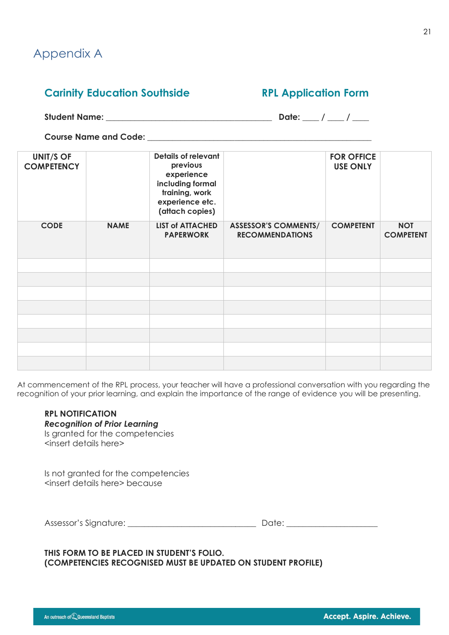Appendix A

## **Carinity Education Southside RPL Application Form**

**Student Name: \_\_\_\_\_\_\_\_\_\_\_\_\_\_\_\_\_\_\_\_\_\_\_\_\_\_\_\_\_\_\_\_\_\_\_\_\_\_\_\_ Date: \_\_\_\_ / \_\_\_\_ / \_\_\_\_**

**Course Name and Code: Course Name and Code: Course 10** 

| <b>UNIT/S OF</b><br><b>COMPETENCY</b> |             | <b>Details of relevant</b><br>previous<br>experience<br>including formal<br>training, work<br>experience etc.<br>(attach copies) |                                                       | <b>FOR OFFICE</b><br><b>USE ONLY</b> |                                |
|---------------------------------------|-------------|----------------------------------------------------------------------------------------------------------------------------------|-------------------------------------------------------|--------------------------------------|--------------------------------|
| <b>CODE</b>                           | <b>NAME</b> | <b>LIST of ATTACHED</b><br><b>PAPERWORK</b>                                                                                      | <b>ASSESSOR'S COMMENTS/</b><br><b>RECOMMENDATIONS</b> | <b>COMPETENT</b>                     | <b>NOT</b><br><b>COMPETENT</b> |
|                                       |             |                                                                                                                                  |                                                       |                                      |                                |
|                                       |             |                                                                                                                                  |                                                       |                                      |                                |
|                                       |             |                                                                                                                                  |                                                       |                                      |                                |
|                                       |             |                                                                                                                                  |                                                       |                                      |                                |
|                                       |             |                                                                                                                                  |                                                       |                                      |                                |
|                                       |             |                                                                                                                                  |                                                       |                                      |                                |
|                                       |             |                                                                                                                                  |                                                       |                                      |                                |
|                                       |             |                                                                                                                                  |                                                       |                                      |                                |

At commencement of the RPL process, your teacher will have a professional conversation with you regarding the recognition of your prior learning, and explain the importance of the range of evidence you will be presenting.

#### **RPL NOTIFICATION**

#### *Recognition of Prior Learning*

Is granted for the competencies <insert details here>

Is not granted for the competencies <insert details here> because

Assessor's Signature: \_\_\_\_\_\_\_\_\_\_\_\_\_\_\_\_\_\_\_\_\_\_\_\_\_\_\_\_\_\_\_ Date: **\_\_\_\_\_\_\_\_\_\_\_\_\_\_\_\_\_\_\_\_\_\_**

**THIS FORM TO BE PLACED IN STUDENT'S FOLIO. (COMPETENCIES RECOGNISED MUST BE UPDATED ON STUDENT PROFILE)**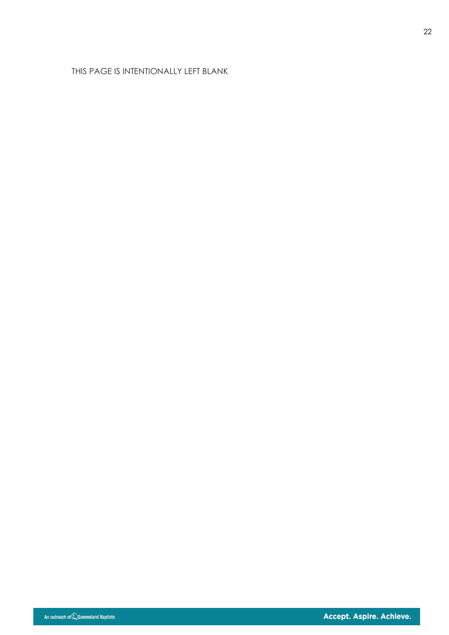#### THIS PAGE IS INTENTIONALLY LEFT BLANK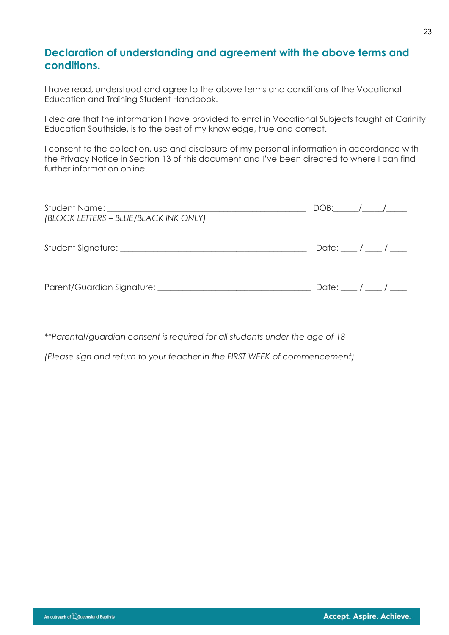## **Declaration of understanding and agreement with the above terms and conditions.**

I have read, understood and agree to the above terms and conditions of the Vocational Education and Training Student Handbook.

I declare that the information I have provided to enrol in Vocational Subjects taught at Carinity Education Southside, is to the best of my knowledge, true and correct.

I consent to the collection, use and disclosure of my personal information in accordance with the Privacy Notice in Section 13 of this document and I've been directed to where I can find further information online.

| (BLOCK LETTERS - BLUE/BLACK INK ONLY)                                                                         | $DOB:$ / /                 |  |
|---------------------------------------------------------------------------------------------------------------|----------------------------|--|
|                                                                                                               | Date: $\frac{1}{\sqrt{2}}$ |  |
| Parent/Guardian Signature: 2008 2010 2020 2021 2021 2022 2023 2024 2022 2023 2024 2022 2023 2024 2025 2026 20 |                            |  |

*\*\*Parental/guardian consent is required for all students under the age of 18*

*(Please sign and return to your teacher in the FIRST WEEK of commencement)*